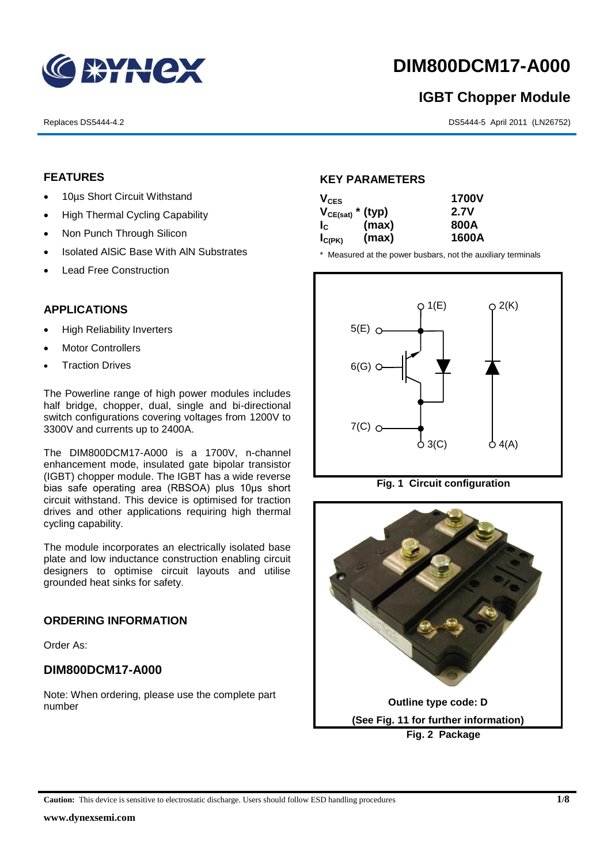

# **DIM800DCM17-A000**

## **IGBT Chopper Module**

Replaces DS5444-4.2 DS5444-5 April 2011 (LN26752)

#### **FEATURES**

- 10us Short Circuit Withstand
- High Thermal Cycling Capability
- Non Punch Through Silicon
- Isolated AISiC Base With AIN Substrates
- Lead Free Construction

#### **APPLICATIONS**

- High Reliability Inverters
- Motor Controllers
- Traction Drives

The Powerline range of high power modules includes half bridge, chopper, dual, single and bi-directional switch configurations covering voltages from 1200V to 3300V and currents up to 2400A.

The DIM800DCM17-A000 is a 1700V, n-channel enhancement mode, insulated gate bipolar transistor (IGBT) chopper module. The IGBT has a wide reverse bias safe operating area (RBSOA) plus 10μs short circuit withstand. This device is optimised for traction drives and other applications requiring high thermal cycling capability.

The module incorporates an electrically isolated base plate and low inductance construction enabling circuit designers to optimise circuit layouts and utilise grounded heat sinks for safety.

#### **ORDERING INFORMATION**

Order As:

#### **DIM800DCM17-A000**

Note: When ordering, please use the complete part number

#### **KEY PARAMETERS**

| $V_{CES}$             |       | <b>1700V</b> |
|-----------------------|-------|--------------|
| $V_{CE(sat)}$ * (typ) |       | 2.7V         |
| $I_c$                 | (max) | 800A         |
| $I_{C(PK)}$           | (max) | 1600A        |

\* Measured at the power busbars, not the auxiliary terminals





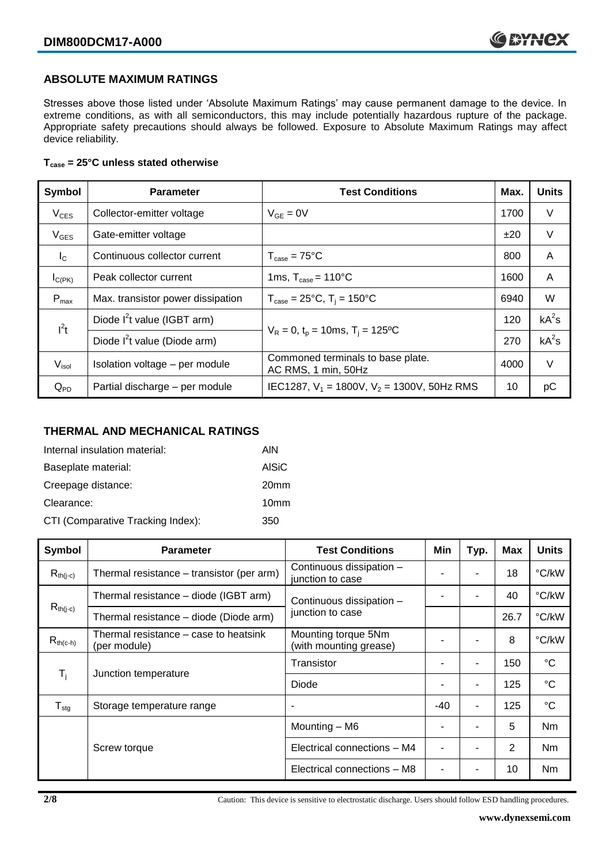#### **ABSOLUTE MAXIMUM RATINGS**

Stresses above those listed under 'Absolute Maximum Ratings' may cause permanent damage to the device. In extreme conditions, as with all semiconductors, this may include potentially hazardous rupture of the package. Appropriate safety precautions should always be followed. Exposure to Absolute Maximum Ratings may affect device reliability.

#### **Tcase = 25°C unless stated otherwise**

| Symbol            | <b>Parameter</b>                         | <b>Test Conditions</b>                                   |      | <b>Units</b> |
|-------------------|------------------------------------------|----------------------------------------------------------|------|--------------|
| $V_{CES}$         | Collector-emitter voltage                | $V_{GE} = 0V$                                            | 1700 | $\vee$       |
| $V_{GES}$         | Gate-emitter voltage                     |                                                          | ±20  | $\vee$       |
| $I_{\rm C}$       | Continuous collector current             | $T_{\text{case}} = 75^{\circ}C$                          | 800  | A            |
| $I_{C(PK)}$       | Peak collector current                   | 1ms, $T_{\text{case}} = 110^{\circ}$ C                   | 1600 | A            |
| $P_{\text{max}}$  | Max. transistor power dissipation        | $T_{\text{case}} = 25^{\circ}C$ , $T_i = 150^{\circ}C$   | 6940 | W            |
| $I^2t$            | Diode $I^2$ t value (IGBT arm)           | $V_R = 0$ , $t_p = 10$ ms, $T_i = 125$ °C                | 120  | $kA^2s$      |
|                   | Diode I <sup>2</sup> t value (Diode arm) |                                                          | 270  | $kA^2s$      |
| V <sub>isol</sub> | Isolation voltage - per module           | Commoned terminals to base plate.<br>AC RMS, 1 min, 50Hz | 4000 | V            |
| $Q_{PD}$          | Partial discharge - per module           | IEC1287, $V_1$ = 1800V, $V_2$ = 1300V, 50Hz RMS          | 10   | рC           |

#### **THERMAL AND MECHANICAL RATINGS**

| Internal insulation material:     | AIN              |
|-----------------------------------|------------------|
| Baseplate material:               | <b>AISiC</b>     |
| Creepage distance:                | 20 <sub>mm</sub> |
| Clearance:                        | 10 <sub>mm</sub> |
| CTI (Comparative Tracking Index): | 350              |

| Symbol                     | <b>Parameter</b>                                                  | <b>Test Conditions</b>                        | Min   | Typ. | Max   | <b>Units</b>    |
|----------------------------|-------------------------------------------------------------------|-----------------------------------------------|-------|------|-------|-----------------|
| $R_{th(i-c)}$              | Thermal resistance - transistor (per arm)                         | Continuous dissipation -<br>junction to case  |       |      | 18    | °C/kW           |
|                            | Thermal resistance – diode (IGBT arm)<br>Continuous dissipation - |                                               |       | 40   | °C/kW |                 |
| $R_{th(j-c)}$              | Thermal resistance - diode (Diode arm)                            | junction to case                              |       |      | 26.7  | °C/kW           |
| $R_{th(c-h)}$              | Thermal resistance – case to heatsink<br>(per module)             | Mounting torque 5Nm<br>(with mounting grease) |       | ۰    | 8     | °C/kW           |
| $\mathsf{T}_\mathsf{i}$    | Junction temperature                                              | Transistor                                    |       | ۰    | 150   | $^{\circ}C$     |
|                            |                                                                   | Diode                                         |       | ۰    | 125   | $^{\circ}C$     |
| ${\mathsf T}_{\text{stg}}$ | Storage temperature range                                         |                                               | $-40$ | ۰    | 125   | $\rm ^{\circ}C$ |
|                            | Screw torque                                                      | Mounting - M6                                 |       | ٠    | 5     | Nm              |
|                            |                                                                   | Electrical connections - M4                   |       |      | 2     | N <sub>m</sub>  |
|                            |                                                                   | Electrical connections - M8                   |       |      | 10    | Nm              |

**2/8** Caution: This device is sensitive to electrostatic discharge. Users should follow ESD handling procedures.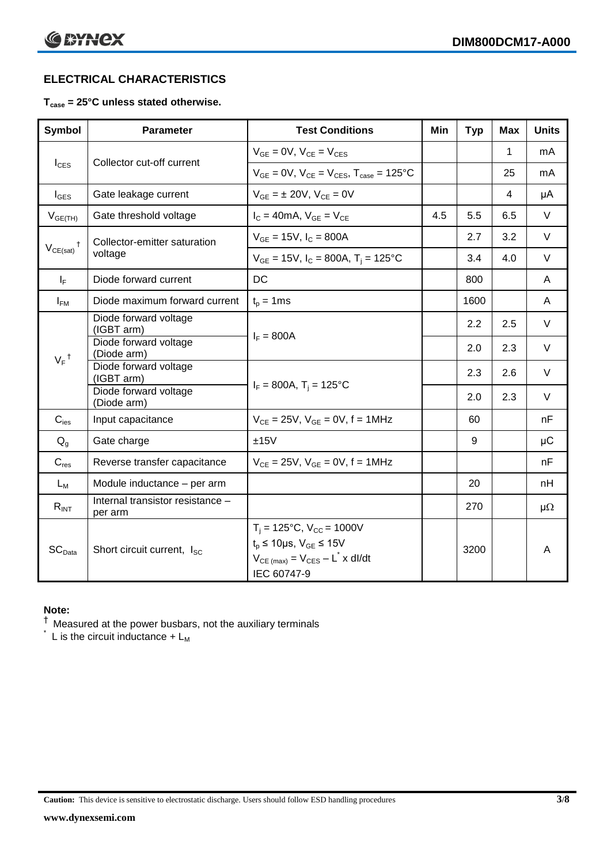### **ELECTRICAL CHARACTERISTICS**

#### **Tcase = 25°C unless stated otherwise.**

| <b>Symbol</b>      | <b>Parameter</b>                            | <b>Test Conditions</b>                                                                                                                    | Min | <b>Typ</b> | <b>Max</b> | <b>Units</b> |
|--------------------|---------------------------------------------|-------------------------------------------------------------------------------------------------------------------------------------------|-----|------------|------------|--------------|
| $I_{\text{CES}}$   | Collector cut-off current                   | $V_{GE} = 0V$ , $V_{CE} = V_{CES}$                                                                                                        |     |            | 1          | mA           |
|                    |                                             | $V_{GF} = 0V$ , $V_{CF} = V_{CES}$ , $T_{case} = 125$ °C                                                                                  |     |            | 25         | mA           |
| $I_{\text{GES}}$   | Gate leakage current                        | $V_{GF} = \pm 20V$ , $V_{CF} = 0V$                                                                                                        |     |            | 4          | μA           |
| $V_{GE(TH)}$       | Gate threshold voltage                      | $I_C = 40mA$ , $V_{GE} = V_{CE}$                                                                                                          | 4.5 | 5.5        | 6.5        | $\vee$       |
| $^{\dagger}$       | Collector-emitter saturation<br>voltage     | $V_{GE}$ = 15V, $I_C$ = 800A                                                                                                              |     | 2.7        | 3.2        | V            |
| $V_{CE(sat)}$      |                                             | $V_{GE}$ = 15V, $I_C$ = 800A, T <sub>i</sub> = 125°C                                                                                      |     | 3.4        | 4.0        | $\vee$       |
| $I_F$              | Diode forward current                       | <b>DC</b>                                                                                                                                 |     | 800        |            | A            |
| $I_{FM}$           | Diode maximum forward current               | $t_p = 1$ ms                                                                                                                              |     | 1600       |            | A            |
|                    | Diode forward voltage<br>(IGBT arm)         | $I_F = 800A$                                                                                                                              |     | 2.2        | 2.5        | V            |
|                    | Diode forward voltage<br>(Diode arm)        |                                                                                                                                           |     | 2.0        | 2.3        | $\vee$       |
| $V_F$ <sup>†</sup> | Diode forward voltage<br>(IGBT arm)         |                                                                                                                                           |     | 2.3        | 2.6        | V            |
|                    | Diode forward voltage<br>(Diode arm)        | $I_F = 800A$ , $T_i = 125^{\circ}C$                                                                                                       |     | 2.0        | 2.3        | $\vee$       |
| $C_{\text{ies}}$   | Input capacitance                           | $V_{CF} = 25V$ , $V_{GF} = 0V$ , f = 1MHz                                                                                                 |     | 60         |            | nF           |
| $Q_q$              | Gate charge                                 | ±15V                                                                                                                                      |     | 9          |            | $\mu$ C      |
| $C_{res}$          | Reverse transfer capacitance                | $V_{CE} = 25V$ , $V_{GE} = 0V$ , f = 1MHz                                                                                                 |     |            |            | nF           |
| $L_M$              | Module inductance - per arm                 |                                                                                                                                           |     | 20         |            | nH           |
| $R_{INT}$          | Internal transistor resistance -<br>per arm |                                                                                                                                           |     | 270        |            | $\mu\Omega$  |
| SC <sub>Data</sub> | Short circuit current, I <sub>SC</sub>      | $T_i = 125$ °C, $V_{CC} = 1000V$<br>$t_p \le 10 \mu s$ , $V_{GE} \le 15V$<br>$V_{CE \ (max)} = V_{CES} - L^* \times dl/dt$<br>IEC 60747-9 |     | 3200       |            | A            |

#### **Note:**

 $^\dagger$  Measured at the power busbars, not the auxiliary terminals

 $\check{}$  L is the circuit inductance +  $L_M$ 

**Caution:** This device is sensitive to electrostatic discharge. Users should follow ESD handling procedures **3/8**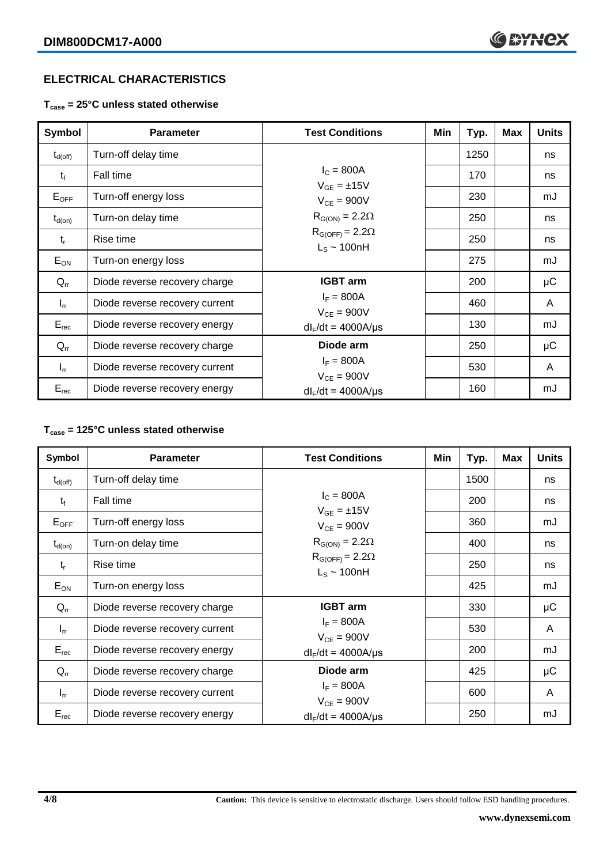#### **ELECTRICAL CHARACTERISTICS**

**Tcase = 25°C unless stated otherwise**

| <b>Symbol</b>       | <b>Parameter</b>               | <b>Test Conditions</b>                       | Min | Typ. | <b>Max</b> | <b>Units</b> |
|---------------------|--------------------------------|----------------------------------------------|-----|------|------------|--------------|
| $t_{d(\text{off})}$ | Turn-off delay time            |                                              |     | 1250 |            | ns           |
| $t_{\rm f}$         | Fall time                      | $I_{C} = 800A$<br>$V_{GE} = \pm 15V$         |     | 170  |            | ns           |
| $E_{OFF}$           | Turn-off energy loss           | $V_{CE} = 900V$                              |     | 230  |            | mJ           |
| $t_{d(on)}$         | Turn-on delay time             | $R_{G(ON)} = 2.2\Omega$                      |     | 250  |            | ns           |
| $t_{r}$             | Rise time                      | $R_{G(OFF)} = 2.2\Omega$<br>$L_s \sim 100nH$ |     | 250  |            | ns           |
| $E_{ON}$            | Turn-on energy loss            |                                              |     | 275  |            | mJ           |
| $Q_{rr}$            | Diode reverse recovery charge  | <b>IGBT</b> arm                              |     | 200  |            | μC           |
| $I_{rr}$            | Diode reverse recovery current | $I_F = 800A$<br>$V_{CE} = 900V$              |     | 460  |            | A            |
| $E_{rec}$           | Diode reverse recovery energy  | $dl_F/dt = 4000A/\mu s$                      |     | 130  |            | mJ           |
| $Q_{rr}$            | Diode reverse recovery charge  | Diode arm                                    |     | 250  |            | μC           |
| $I_{rr}$            | Diode reverse recovery current | $I_F = 800A$<br>$V_{CE} = 900V$              |     | 530  |            | A            |
| $E_{rec}$           | Diode reverse recovery energy  | $dl_F/dt = 4000 A/\mu s$                     |     | 160  |            | mJ           |

#### **Tcase = 125°C unless stated otherwise**

| Symbol              | <b>Parameter</b>               | <b>Test Conditions</b>                       | Min | Typ. | <b>Max</b> | <b>Units</b> |
|---------------------|--------------------------------|----------------------------------------------|-----|------|------------|--------------|
| $t_{d(\text{off})}$ | Turn-off delay time            |                                              |     | 1500 |            | ns           |
| $t_{\rm f}$         | Fall time                      | $I_c = 800A$<br>$V_{GE} = \pm 15V$           |     | 200  |            | ns           |
| $E_{OFF}$           | Turn-off energy loss           | $V_{CE} = 900V$                              |     | 360  |            | mJ           |
| $t_{d(on)}$         | Turn-on delay time             | $R_{G(ON)} = 2.2\Omega$                      |     | 400  |            | ns           |
| $t_{r}$             | Rise time                      | $R_{G(OFF)} = 2.2\Omega$<br>$L_s \sim 100nH$ |     | 250  |            | ns           |
| $E_{ON}$            | Turn-on energy loss            |                                              |     | 425  |            | mJ           |
| $Q_{rr}$            | Diode reverse recovery charge  | <b>IGBT</b> arm                              |     | 330  |            | μC           |
| $I_{rr}$            | Diode reverse recovery current | $I_F = 800A$<br>$V_{CE} = 900V$              |     | 530  |            | A            |
| $E_{rec}$           | Diode reverse recovery energy  | $dl_F/dt = 4000A/\mu s$                      |     | 200  |            | mJ           |
| $Q_{rr}$            | Diode reverse recovery charge  | Diode arm                                    |     | 425  |            | μC           |
| $I_{rr}$            | Diode reverse recovery current | $I_F = 800A$<br>$V_{CE}$ = 900V              |     | 600  |            | A            |
| $E_{rec}$           | Diode reverse recovery energy  | $dl_F/dt = 4000 A/\mu s$                     |     | 250  |            | mJ           |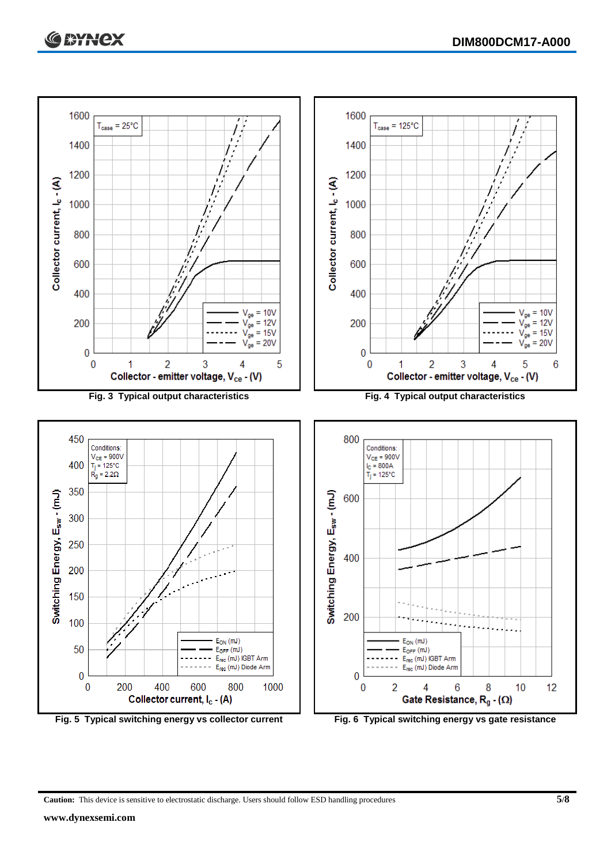

**Caution:** This device is sensitive to electrostatic discharge. Users should follow ESD handling procedures **5/8**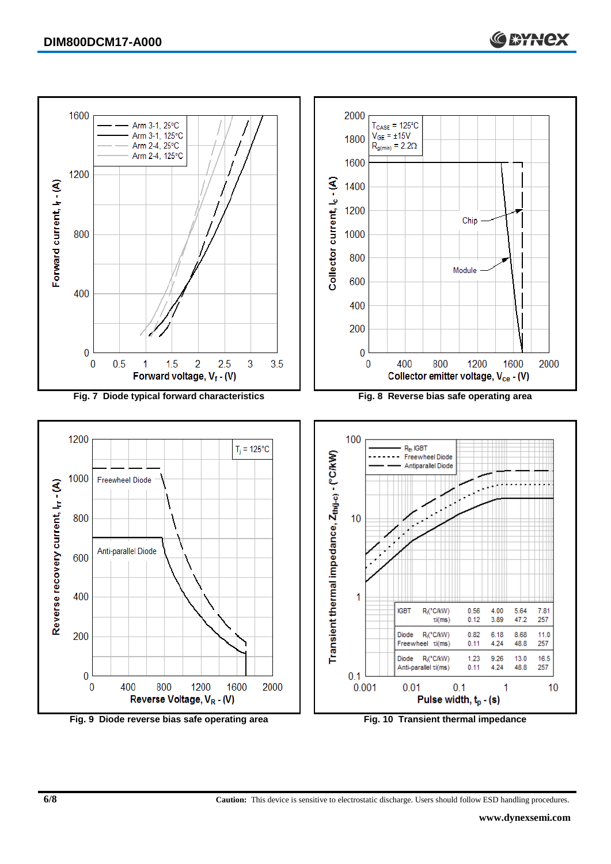

**6/8 Caution:** This device is sensitive to electrostatic discharge. Users should follow ESD handling procedures.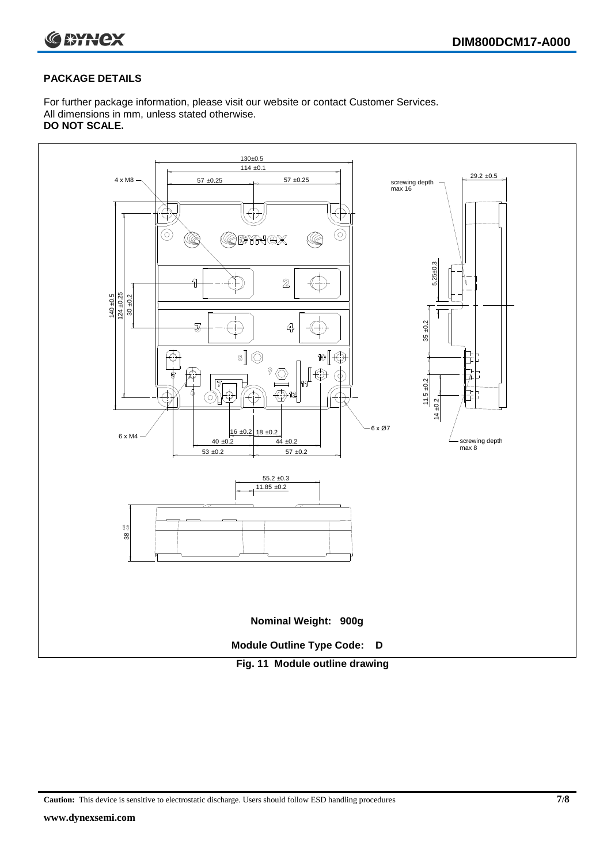

#### **PACKAGE DETAILS**

For further package information, please visit our website or contact Customer Services. All dimensions in mm, unless stated otherwise. **DO NOT SCALE.**



**Caution:** This device is sensitive to electrostatic discharge. Users should follow ESD handling procedures **7/8**